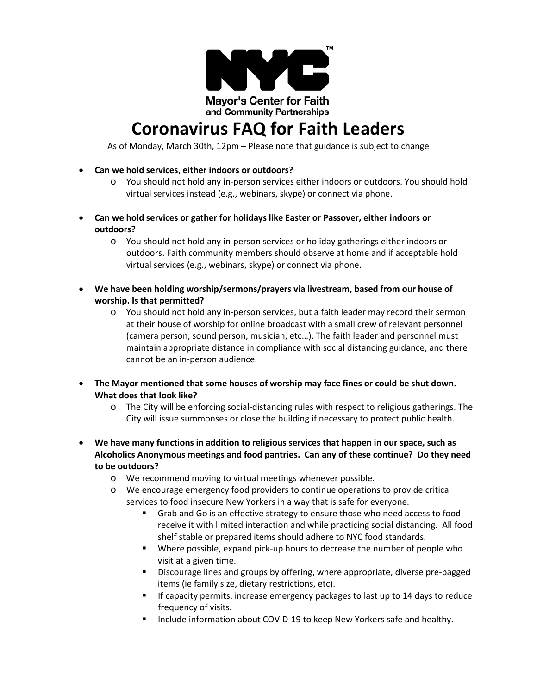

## **Coronavirus FAQ for Faith Leaders**

As of Monday, March 30th, 12pm – Please note that guidance is subject to change

- **Can we hold services, either indoors or outdoors?**
	- o You should not hold any in-person services either indoors or outdoors. You should hold virtual services instead (e.g., webinars, skype) or connect via phone.
- **Can we hold services or gather for holidays like Easter or Passover, either indoors or outdoors?** 
	- o You should not hold any in-person services or holiday gatherings either indoors or outdoors. Faith community members should observe at home and if acceptable hold virtual services (e.g., webinars, skype) or connect via phone.
- **We have been holding worship/sermons/prayers via livestream, based from our house of worship. Is that permitted?** 
	- o You should not hold any in-person services, but a faith leader may record their sermon at their house of worship for online broadcast with a small crew of relevant personnel (camera person, sound person, musician, etc…). The faith leader and personnel must maintain appropriate distance in compliance with social distancing guidance, and there cannot be an in-person audience.
- **The Mayor mentioned that some houses of worship may face fines or could be shut down. What does that look like?** 
	- o The City will be enforcing social-distancing rules with respect to religious gatherings. The City will issue summonses or close the building if necessary to protect public health.
- **We have many functions in addition to religious services that happen in our space, such as Alcoholics Anonymous meetings and food pantries. Can any of these continue? Do they need to be outdoors?** 
	- o We recommend moving to virtual meetings whenever possible.
	- o We encourage emergency food providers to continue operations to provide critical services to food insecure New Yorkers in a way that is safe for everyone.
		- Grab and Go is an effective strategy to ensure those who need access to food receive it with limited interaction and while practicing social distancing. All food shelf stable or prepared items should adhere to NYC food standards.
		- Where possible, expand pick-up hours to decrease the number of people who visit at a given time.
		- Discourage lines and groups by offering, where appropriate, diverse pre-bagged items (ie family size, dietary restrictions, etc).
		- If capacity permits, increase emergency packages to last up to 14 days to reduce frequency of visits.
		- Include information about COVID-19 to keep New Yorkers safe and healthy.